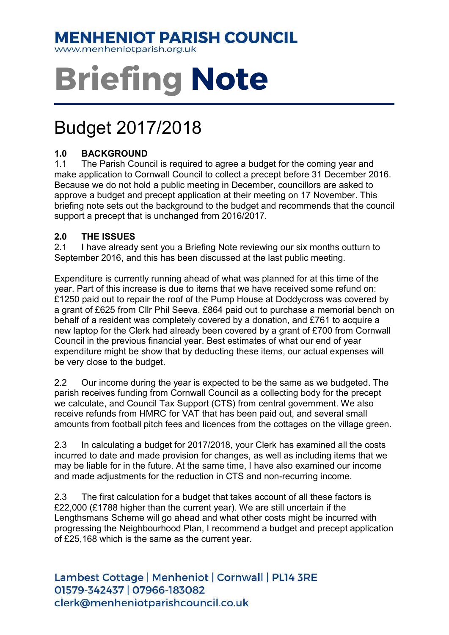## **MENHENIOT PARISH COUNCIL**

www.menheniotparish.org.uk

# Briefing Note

# Budget 2017/2018

## 1.0 BACKGROUND

1.1 The Parish Council is required to agree a budget for the coming year and make application to Cornwall Council to collect a precept before 31 December 2016. Because we do not hold a public meeting in December, councillors are asked to approve a budget and precept application at their meeting on 17 November. This briefing note sets out the background to the budget and recommends that the council support a precept that is unchanged from 2016/2017.

### 2.0 THE ISSUES

2.1 I have already sent you a Briefing Note reviewing our six months outturn to September 2016, and this has been discussed at the last public meeting.

Expenditure is currently running ahead of what was planned for at this time of the year. Part of this increase is due to items that we have received some refund on: £1250 paid out to repair the roof of the Pump House at Doddycross was covered by a grant of £625 from Cllr Phil Seeva. £864 paid out to purchase a memorial bench on behalf of a resident was completely covered by a donation, and £761 to acquire a new laptop for the Clerk had already been covered by a grant of £700 from Cornwall Council in the previous financial year. Best estimates of what our end of year expenditure might be show that by deducting these items, our actual expenses will be very close to the budget.

2.2 Our income during the year is expected to be the same as we budgeted. The parish receives funding from Cornwall Council as a collecting body for the precept we calculate, and Council Tax Support (CTS) from central government. We also receive refunds from HMRC for VAT that has been paid out, and several small amounts from football pitch fees and licences from the cottages on the village green.

2.3 In calculating a budget for 2017/2018, your Clerk has examined all the costs incurred to date and made provision for changes, as well as including items that we may be liable for in the future. At the same time, I have also examined our income and made adjustments for the reduction in CTS and non-recurring income.

2.3 The first calculation for a budget that takes account of all these factors is £22,000 (£1788 higher than the current year). We are still uncertain if the Lengthsmans Scheme will go ahead and what other costs might be incurred with progressing the Neighbourhood Plan, I recommend a budget and precept application of £25,168 which is the same as the current year.

Lambest Cottage | Menheniot | Cornwall | PL14 3RE 01579-342437 | 07966-183082 clerk@menheniotparishcouncil.co.uk